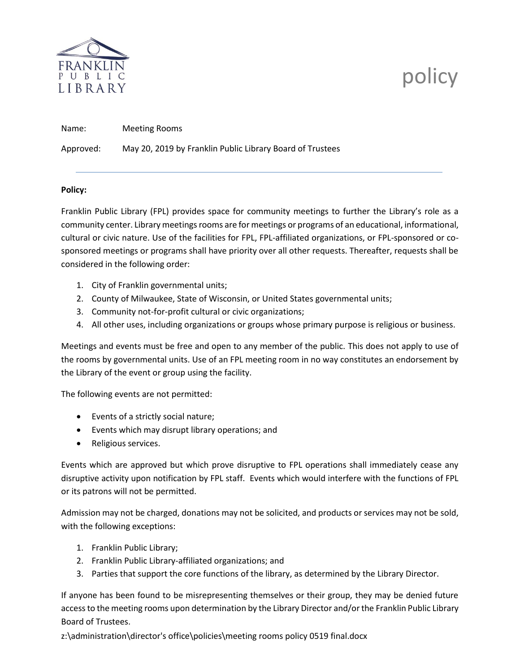

# policy

Name: Meeting Rooms

Approved: May 20, 2019 by Franklin Public Library Board of Trustees

### **Policy:**

Franklin Public Library (FPL) provides space for community meetings to further the Library's role as a community center. Library meetings rooms are for meetings or programs of an educational, informational, cultural or civic nature. Use of the facilities for FPL, FPL-affiliated organizations, or FPL-sponsored or cosponsored meetings or programs shall have priority over all other requests. Thereafter, requests shall be considered in the following order:

- 1. City of Franklin governmental units;
- 2. County of Milwaukee, State of Wisconsin, or United States governmental units;
- 3. Community not-for-profit cultural or civic organizations;
- 4. All other uses, including organizations or groups whose primary purpose is religious or business.

Meetings and events must be free and open to any member of the public. This does not apply to use of the rooms by governmental units. Use of an FPL meeting room in no way constitutes an endorsement by the Library of the event or group using the facility.

The following events are not permitted:

- Events of a strictly social nature;
- Events which may disrupt library operations; and
- Religious services.

Events which are approved but which prove disruptive to FPL operations shall immediately cease any disruptive activity upon notification by FPL staff. Events which would interfere with the functions of FPL or its patrons will not be permitted.

Admission may not be charged, donations may not be solicited, and products or services may not be sold, with the following exceptions:

- 1. Franklin Public Library;
- 2. Franklin Public Library-affiliated organizations; and
- 3. Parties that support the core functions of the library, as determined by the Library Director.

If anyone has been found to be misrepresenting themselves or their group, they may be denied future access to the meeting rooms upon determination by the Library Director and/or the Franklin Public Library Board of Trustees.

z:\administration\director's office\policies\meeting rooms policy 0519 final.docx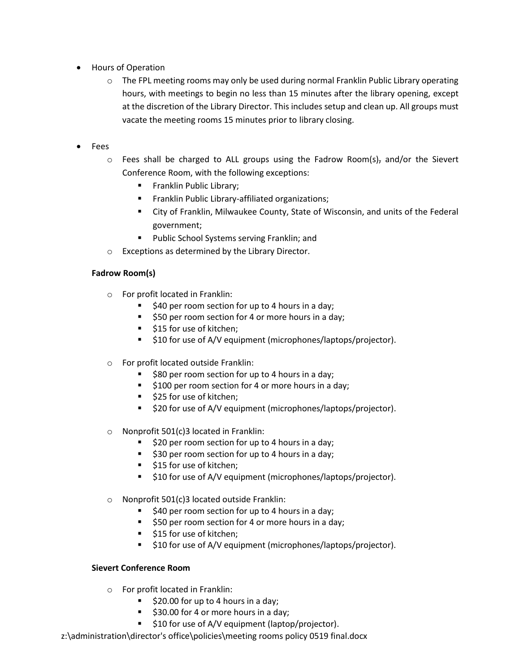- Hours of Operation
	- $\circ$  The FPL meeting rooms may only be used during normal Franklin Public Library operating hours, with meetings to begin no less than 15 minutes after the library opening, except at the discretion of the Library Director. This includes setup and clean up. All groups must vacate the meeting rooms 15 minutes prior to library closing.
- Fees
	- $\circ$  Fees shall be charged to ALL groups using the Fadrow Room(s)<sub>7</sub> and/or the Sievert Conference Room, with the following exceptions:
		- **Franklin Public Library;**
		- Franklin Public Library-affiliated organizations;
		- City of Franklin, Milwaukee County, State of Wisconsin, and units of the Federal government;
		- **Public School Systems serving Franklin; and**
	- o Exceptions as determined by the Library Director.

## **Fadrow Room(s)**

- o For profit located in Franklin:
	- $\blacksquare$  \$40 per room section for up to 4 hours in a day;
	- **550 per room section for 4 or more hours in a day;**
	- **515 for use of kitchen;**
	- **510 for use of A/V equipment (microphones/laptops/projector).**
- o For profit located outside Franklin:
	- **580 per room section for up to 4 hours in a day;**
	- **5100 per room section for 4 or more hours in a day;**
	- \$25 for use of kitchen;
	- $\overline{ }$  \$20 for use of A/V equipment (microphones/laptops/projector).
- o Nonprofit 501(c)3 located in Franklin:
	- $\overline{\phantom{a}}$  \$20 per room section for up to 4 hours in a day;
	- $\overline{\phantom{a}}$  \$30 per room section for up to 4 hours in a day;
	- **515 for use of kitchen;**
	- **510 for use of A/V equipment (microphones/laptops/projector).**
- o Nonprofit 501(c)3 located outside Franklin:
	- **540 per room section for up to 4 hours in a day;**
	- **50 per room section for 4 or more hours in a day;**
	- **515 for use of kitchen;**
	- $\overline{ }$  \$10 for use of A/V equipment (microphones/laptops/projector).

### **Sievert Conference Room**

- o For profit located in Franklin:
	- $\blacktriangleright$  \$20.00 for up to 4 hours in a day;
	- \$30.00 for 4 or more hours in a day;
	- **510 for use of A/V equipment (laptop/projector).**
- z:\administration\director's office\policies\meeting rooms policy 0519 final.docx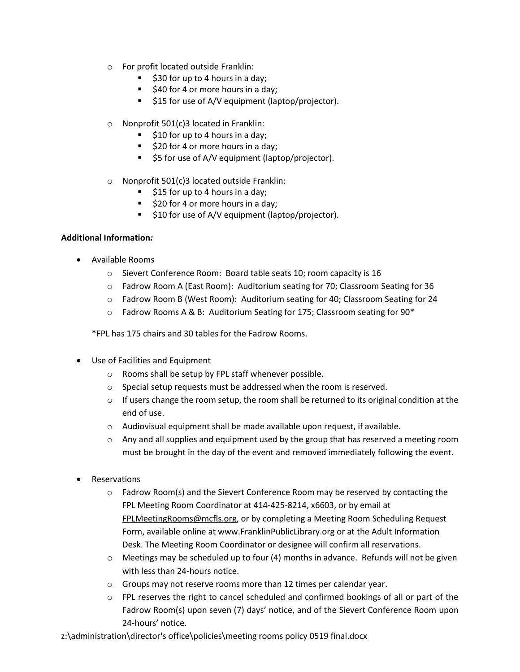- o For profit located outside Franklin:
	- $\overline{\phantom{a}}$  \$30 for up to 4 hours in a day;
	- $\overline{\phantom{a}}$  \$40 for 4 or more hours in a day;
	- **515 for use of A/V equipment (laptop/projector).**
- o Nonprofit 501(c)3 located in Franklin:
	- $\overline{\phantom{a}}$  \$10 for up to 4 hours in a day;
	- $\overline{\phantom{a}}$  \$20 for 4 or more hours in a day;
	- **55 for use of A/V equipment (laptop/projector).**
- o Nonprofit 501(c)3 located outside Franklin:
	- $\overline{\phantom{a}}$  \$15 for up to 4 hours in a day;
	- \$20 for 4 or more hours in a day;
	- $\blacksquare$  \$10 for use of A/V equipment (laptop/projector).

## **Additional Information***:*

- Available Rooms
	- o Sievert Conference Room: Board table seats 10; room capacity is 16
	- o Fadrow Room A (East Room): Auditorium seating for 70; Classroom Seating for 36
	- o Fadrow Room B (West Room): Auditorium seating for 40; Classroom Seating for 24
	- o Fadrow Rooms A & B: Auditorium Seating for 175; Classroom seating for 90\*

\*FPL has 175 chairs and 30 tables for the Fadrow Rooms.

- Use of Facilities and Equipment
	- o Rooms shall be setup by FPL staff whenever possible.
	- o Special setup requests must be addressed when the room is reserved.
	- $\circ$  If users change the room setup, the room shall be returned to its original condition at the end of use.
	- o Audiovisual equipment shall be made available upon request, if available.
	- $\circ$  Any and all supplies and equipment used by the group that has reserved a meeting room must be brought in the day of the event and removed immediately following the event.
- Reservations
	- $\circ$  Fadrow Room(s) and the Sievert Conference Room may be reserved by contacting the FPL Meeting Room Coordinator at 414-425-8214, x6603, or by email at [FPLMeetingRooms@mcfls.org,](mailto:FPLMeetingRooms@mcfls.org) or by completing a Meeting Room Scheduling Request Form, available online a[t www.FranklinPublicLibrary.org](http://www.franklinpubliclibrary.org/) or at the Adult Information Desk. The Meeting Room Coordinator or designee will confirm all reservations.
	- $\circ$  Meetings may be scheduled up to four (4) months in advance. Refunds will not be given with less than 24-hours notice.
	- o Groups may not reserve rooms more than 12 times per calendar year.
	- o FPL reserves the right to cancel scheduled and confirmed bookings of all or part of the Fadrow Room(s) upon seven (7) days' notice, and of the Sievert Conference Room upon 24-hours' notice.
- z:\administration\director's office\policies\meeting rooms policy 0519 final.docx